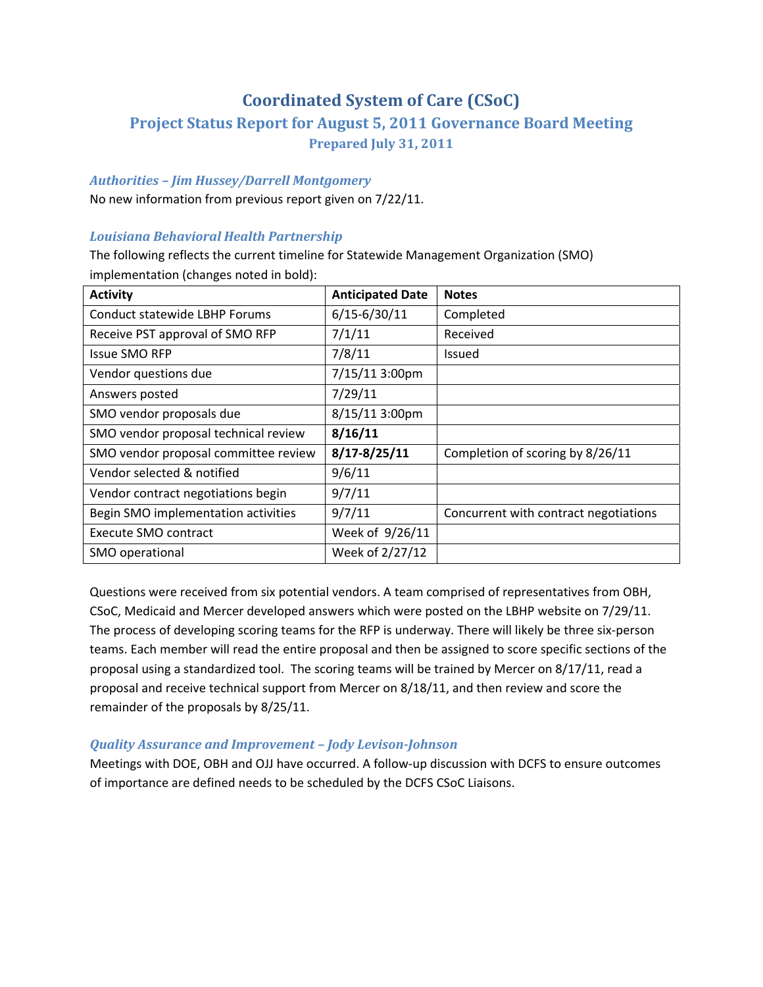# **Coordinated System of Care (CSoC)**

# **Project Status Report for August 5, 2011 Governance Board Meeting Prepared July 31, 2011**

## *Authorities – Jim Hussey/Darrell Montgomery*

No new information from previous report given on 7/22/11.

## *Louisiana Behavioral Health Partnership*

The following reflects the current timeline for Statewide Management Organization (SMO) implementation (changes noted in bold):

| <b>Activity</b>                      | <b>Anticipated Date</b> | <b>Notes</b>                          |
|--------------------------------------|-------------------------|---------------------------------------|
| Conduct statewide LBHP Forums        | $6/15 - 6/30/11$        | Completed                             |
| Receive PST approval of SMO RFP      | 7/1/11                  | Received                              |
| <b>Issue SMO RFP</b>                 | 7/8/11                  | <b>Issued</b>                         |
| Vendor questions due                 | 7/15/11 3:00pm          |                                       |
| Answers posted                       | 7/29/11                 |                                       |
| SMO vendor proposals due             | 8/15/11 3:00pm          |                                       |
| SMO vendor proposal technical review | 8/16/11                 |                                       |
| SMO vendor proposal committee review | $8/17 - 8/25/11$        | Completion of scoring by 8/26/11      |
| Vendor selected & notified           | 9/6/11                  |                                       |
| Vendor contract negotiations begin   | 9/7/11                  |                                       |
| Begin SMO implementation activities  | 9/7/11                  | Concurrent with contract negotiations |
| Execute SMO contract                 | Week of 9/26/11         |                                       |
| SMO operational                      | Week of 2/27/12         |                                       |

Questions were received from six potential vendors. A team comprised of representatives from OBH, CSoC, Medicaid and Mercer developed answers which were posted on the LBHP website on 7/29/11. The process of developing scoring teams for the RFP is underway. There will likely be three six‐person teams. Each member will read the entire proposal and then be assigned to score specific sections of the proposal using a standardized tool. The scoring teams will be trained by Mercer on 8/17/11, read a proposal and receive technical support from Mercer on 8/18/11, and then review and score the remainder of the proposals by 8/25/11.

### *Quality Assurance and Improvement – Jody LevisonJohnson*

Meetings with DOE, OBH and OJJ have occurred. A follow‐up discussion with DCFS to ensure outcomes of importance are defined needs to be scheduled by the DCFS CSoC Liaisons.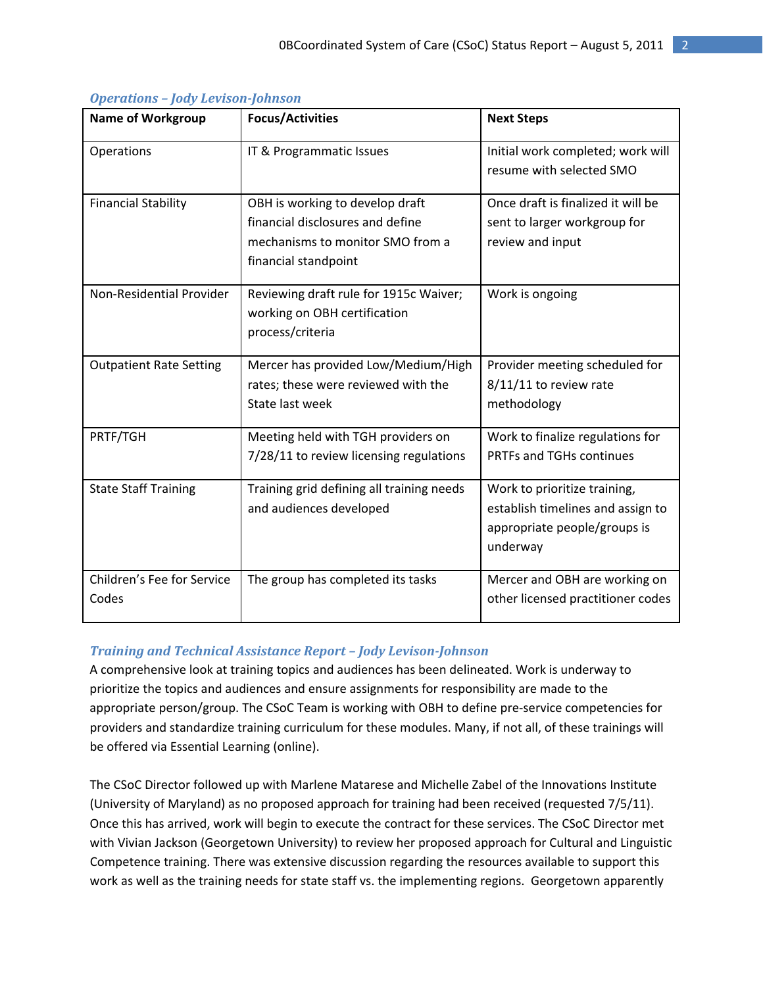| <b>Name of Workgroup</b>            | <b>Focus/Activities</b>                                                                                                         | <b>Next Steps</b>                                                                                             |
|-------------------------------------|---------------------------------------------------------------------------------------------------------------------------------|---------------------------------------------------------------------------------------------------------------|
| Operations                          | IT & Programmatic Issues                                                                                                        | Initial work completed; work will<br>resume with selected SMO                                                 |
| <b>Financial Stability</b>          | OBH is working to develop draft<br>financial disclosures and define<br>mechanisms to monitor SMO from a<br>financial standpoint | Once draft is finalized it will be<br>sent to larger workgroup for<br>review and input                        |
| Non-Residential Provider            | Reviewing draft rule for 1915c Waiver;<br>working on OBH certification<br>process/criteria                                      | Work is ongoing                                                                                               |
| <b>Outpatient Rate Setting</b>      | Mercer has provided Low/Medium/High<br>rates; these were reviewed with the<br>State last week                                   | Provider meeting scheduled for<br>8/11/11 to review rate<br>methodology                                       |
| PRTF/TGH                            | Meeting held with TGH providers on<br>7/28/11 to review licensing regulations                                                   | Work to finalize regulations for<br>PRTFs and TGHs continues                                                  |
| <b>State Staff Training</b>         | Training grid defining all training needs<br>and audiences developed                                                            | Work to prioritize training,<br>establish timelines and assign to<br>appropriate people/groups is<br>underway |
| Children's Fee for Service<br>Codes | The group has completed its tasks                                                                                               | Mercer and OBH are working on<br>other licensed practitioner codes                                            |

## *Operations – Jody LevisonJohnson*

## *Training and Technical Assistance Report – Jody LevisonJohnson*

A comprehensive look at training topics and audiences has been delineated. Work is underway to prioritize the topics and audiences and ensure assignments for responsibility are made to the appropriate person/group. The CSoC Team is working with OBH to define pre‐service competencies for providers and standardize training curriculum for these modules. Many, if not all, of these trainings will be offered via Essential Learning (online).

The CSoC Director followed up with Marlene Matarese and Michelle Zabel of the Innovations Institute (University of Maryland) as no proposed approach for training had been received (requested 7/5/11). Once this has arrived, work will begin to execute the contract for these services. The CSoC Director met with Vivian Jackson (Georgetown University) to review her proposed approach for Cultural and Linguistic Competence training. There was extensive discussion regarding the resources available to support this work as well as the training needs for state staff vs. the implementing regions. Georgetown apparently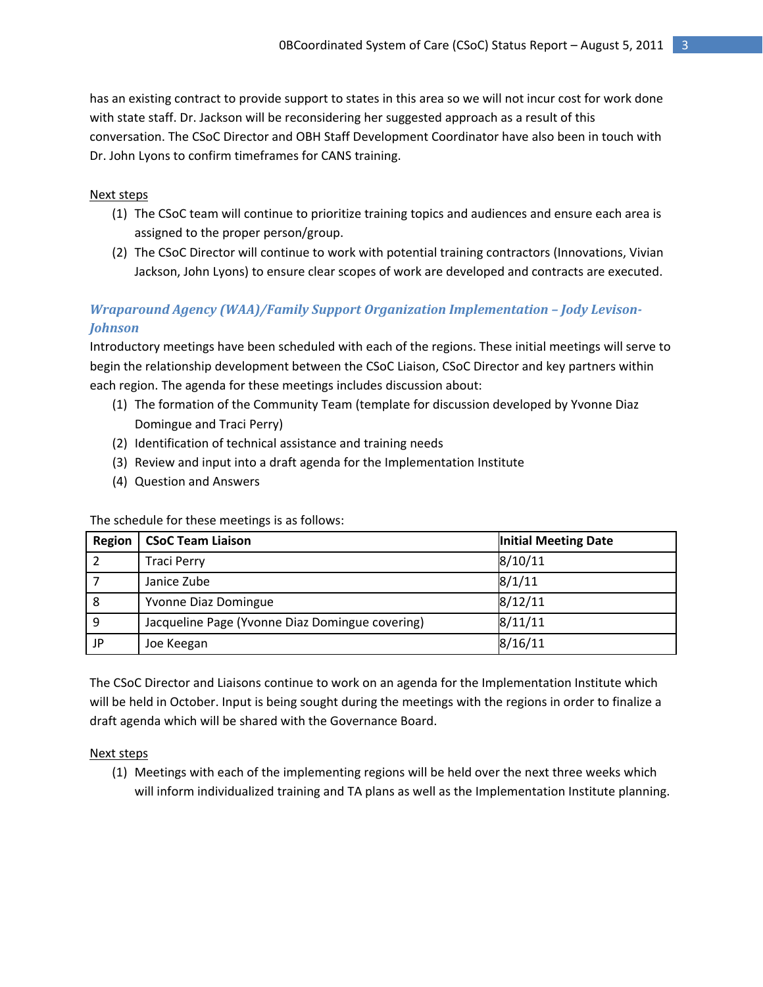has an existing contract to provide support to states in this area so we will not incur cost for work done with state staff. Dr. Jackson will be reconsidering her suggested approach as a result of this conversation. The CSoC Director and OBH Staff Development Coordinator have also been in touch with Dr. John Lyons to confirm timeframes for CANS training.

#### Next steps

- (1) The CSoC team will continue to prioritize training topics and audiences and ensure each area is assigned to the proper person/group.
- (2) The CSoC Director will continue to work with potential training contractors (Innovations, Vivian Jackson, John Lyons) to ensure clear scopes of work are developed and contracts are executed.

## *Wraparound Agency (WAA)/Family Support Organization Implementation – Jody Levison-Johnson*

Introductory meetings have been scheduled with each of the regions. These initial meetings will serve to begin the relationship development between the CSoC Liaison, CSoC Director and key partners within each region. The agenda for these meetings includes discussion about:

- (1) The formation of the Community Team (template for discussion developed by Yvonne Diaz Domingue and Traci Perry)
- (2) Identification of technical assistance and training needs
- (3) Review and input into a draft agenda for the Implementation Institute
- (4) Question and Answers

The schedule for these meetings is as follows:

| Region | <b>CSoC Team Liaison</b>                        | Initial Meeting Date |
|--------|-------------------------------------------------|----------------------|
|        | <b>Traci Perry</b>                              | 8/10/11              |
|        | Janice Zube                                     | 8/1/11               |
| 8      | Yvonne Diaz Domingue                            | 8/12/11              |
| 9      | Jacqueline Page (Yvonne Diaz Domingue covering) | 8/11/11              |
| JP     | Joe Keegan                                      | 8/16/11              |

The CSoC Director and Liaisons continue to work on an agenda for the Implementation Institute which will be held in October. Input is being sought during the meetings with the regions in order to finalize a draft agenda which will be shared with the Governance Board.

### Next steps

(1) Meetings with each of the implementing regions will be held over the next three weeks which will inform individualized training and TA plans as well as the Implementation Institute planning.